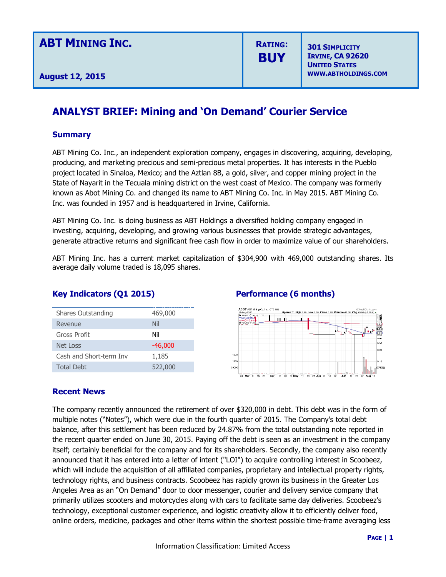**RATING: BUY**

**301 SIMPLICITY IRVINE, CA 92620 UNITED STATES WWW.ABTHOLDINGS.COM**

## **ANALYST BRIEF: Mining and 'On Demand' Courier Service**

### **Summary**

ABT Mining Co. Inc., an independent exploration company, engages in discovering, acquiring, developing, producing, and marketing precious and semi-precious metal properties. It has interests in the Pueblo project located in Sinaloa, Mexico; and the Aztlan 8B, a gold, silver, and copper mining project in the State of Nayarit in the Tecuala mining district on the west coast of Mexico. The company was formerly known as Abot Mining Co. and changed its name to ABT Mining Co. Inc. in May 2015. ABT Mining Co. Inc. was founded in 1957 and is headquartered in Irvine, California.

ABT Mining Co. Inc. is doing business as ABT Holdings a diversified holding company engaged in investing, acquiring, developing, and growing various businesses that provide strategic advantages, generate attractive returns and significant free cash flow in order to maximize value of our shareholders.

ABT Mining Inc. has a current market capitalization of \$304,900 with 469,000 outstanding shares. Its average daily volume traded is 18,095 shares.

### **Key Indicators (Q1 2015) Performance (6 months)**

| Shares Outstanding      | 469,000   |
|-------------------------|-----------|
| Revenue                 | Nil       |
| Gross Profit            | Nil       |
| Net Loss                | $-46,000$ |
| Cash and Short-term Inv | 1,185     |
| <b>Total Debt</b>       | 522,000   |



### **Recent News**

The company recently announced the retirement of over \$320,000 in debt. This debt was in the form of multiple notes ("Notes"), which were due in the fourth quarter of 2015. The Company's total debt balance, after this settlement has been reduced by 24.87% from the total outstanding note reported in the recent quarter ended on June 30, 2015. Paying off the debt is seen as an investment in the company itself; certainly beneficial for the company and for its shareholders. Secondly, the company also recently announced that it has entered into a letter of intent ("LOI") to acquire controlling interest in Scoobeez, which will include the acquisition of all affiliated companies, proprietary and intellectual property rights, technology rights, and business contracts. Scoobeez has rapidly grown its business in the Greater Los Angeles Area as an "On Demand" door to door messenger, courier and delivery service company that primarily utilizes scooters and motorcycles along with cars to facilitate same day deliveries. Scoobeez's technology, exceptional customer experience, and logistic creativity allow it to efficiently deliver food, online orders, medicine, packages and other items within the shortest possible time-frame averaging less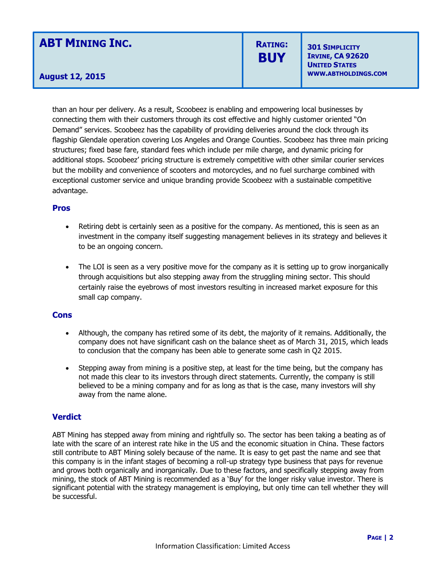# **ABT MINING INC.**

**August 12, 2015**

# **RATING: BUY**

**301 SIMPLICITY IRVINE, CA 92620 UNITED STATES WWW.ABTHOLDINGS.COM**

than an hour per delivery. As a result, Scoobeez is enabling and empowering local businesses by connecting them with their customers through its cost effective and highly customer oriented "On Demand" services. Scoobeez has the capability of providing deliveries around the clock through its flagship Glendale operation covering Los Angeles and Orange Counties. Scoobeez has three main pricing structures; fixed base fare, standard fees which include per mile charge, and dynamic pricing for additional stops. Scoobeez' pricing structure is extremely competitive with other similar courier services but the mobility and convenience of scooters and motorcycles, and no fuel surcharge combined with exceptional customer service and unique branding provide Scoobeez with a sustainable competitive advantage.

#### **Pros**

- Retiring debt is certainly seen as a positive for the company. As mentioned, this is seen as an investment in the company itself suggesting management believes in its strategy and believes it to be an ongoing concern.
- The LOI is seen as a very positive move for the company as it is setting up to grow inorganically through acquisitions but also stepping away from the struggling mining sector. This should certainly raise the eyebrows of most investors resulting in increased market exposure for this small cap company.

#### **Cons**

- Although, the company has retired some of its debt, the majority of it remains. Additionally, the company does not have significant cash on the balance sheet as of March 31, 2015, which leads to conclusion that the company has been able to generate some cash in Q2 2015.
- Stepping away from mining is a positive step, at least for the time being, but the company has not made this clear to its investors through direct statements. Currently, the company is still believed to be a mining company and for as long as that is the case, many investors will shy away from the name alone.

#### **Verdict**

ABT Mining has stepped away from mining and rightfully so. The sector has been taking a beating as of late with the scare of an interest rate hike in the US and the economic situation in China. These factors still contribute to ABT Mining solely because of the name. It is easy to get past the name and see that this company is in the infant stages of becoming a roll-up strategy type business that pays for revenue and grows both organically and inorganically. Due to these factors, and specifically stepping away from mining, the stock of ABT Mining is recommended as a 'Buy' for the longer risky value investor. There is significant potential with the strategy management is employing, but only time can tell whether they will be successful.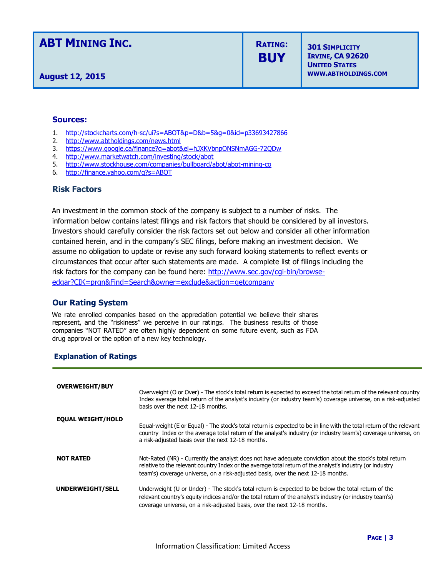### **ABT MINING INC.**

**August 12, 2015**

**RATING: BUY**

**301 SIMPLICITY IRVINE, CA 92620 UNITED STATES WWW.ABTHOLDINGS.COM**

#### **Sources:**

- 1. <http://stockcharts.com/h-sc/ui?s=ABOT&p=D&b=5&g=0&id=p33693427866>
- 2. <http://www.abtholdings.com/news.html>
- 3. <https://www.google.ca/finance?q=abot&ei=hJXKVbnpONSNmAGG-72QDw>
- 4. <http://www.marketwatch.com/investing/stock/abot>
- 5. <http://www.stockhouse.com/companies/bullboard/abot/abot-mining-co>
- 6. <http://finance.yahoo.com/q?s=ABOT>

#### **Risk Factors**

An investment in the common stock of the company is subject to a number of risks. The information below contains latest filings and risk factors that should be considered by all investors. Investors should carefully consider the risk factors set out below and consider all other information contained herein, and in the company's SEC filings, before making an investment decision. We assume no obligation to update or revise any such forward looking statements to reflect events or circumstances that occur after such statements are made. A complete list of filings including the risk factors for the company can be found here: http://www.sec.gov/cqi-bin/browse[edgar?CIK=prgn&Find=Search&owner=exclude&action=getcompany](http://www.sec.gov/cgi-bin/browse-edgar?CIK=prgn&Find=Search&owner=exclude&action=getcompany)

#### **Our Rating System**

We rate enrolled companies based on the appreciation potential we believe their shares represent, and the "riskiness" we perceive in our ratings. The business results of those companies "NOT RATED" are often highly dependent on some future event, such as FDA drug approval or the option of a new key technology.

#### **Explanation of Ratings**

| <b>OVERWEIGHT/BUY</b>    | Overweight (O or Over) - The stock's total return is expected to exceed the total return of the relevant country<br>Index average total return of the analyst's industry (or industry team's) coverage universe, on a risk-adjusted<br>hasis over the next 12-18 months.                                 |
|--------------------------|----------------------------------------------------------------------------------------------------------------------------------------------------------------------------------------------------------------------------------------------------------------------------------------------------------|
| <b>EQUAL WEIGHT/HOLD</b> | Equal-weight (E or Equal) - The stock's total return is expected to be in line with the total return of the relevant<br>country Index or the average total return of the analyst's industry (or industry team's) coverage universe, on<br>a risk-adjusted basis over the next 12-18 months.              |
| <b>NOT RATED</b>         | Not-Rated (NR) - Currently the analyst does not have adequate conviction about the stock's total return<br>relative to the relevant country Index or the average total return of the analyst's industry (or industry<br>team's) coverage universe, on a risk-adjusted basis, over the next 12-18 months. |
| UNDERWEIGHT/SELL         | Underweight (U or Under) - The stock's total return is expected to be below the total return of the<br>relevant country's equity indices and/or the total return of the analyst's industry (or industry team's)<br>coverage universe, on a risk-adjusted basis, over the next 12-18 months.              |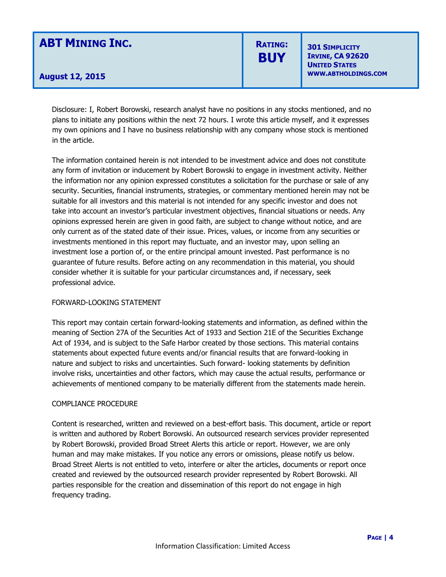# **ABT MINING INC.**

## **RATING: BUY**

**301 SIMPLICITY IRVINE, CA 92620 UNITED STATES WWW.ABTHOLDINGS.COM**

### **August 12, 2015**

Disclosure: I, Robert Borowski, research analyst have no positions in any stocks mentioned, and no plans to initiate any positions within the next 72 hours. I wrote this article myself, and it expresses my own opinions and I have no business relationship with any company whose stock is mentioned in the article.

The information contained herein is not intended to be investment advice and does not constitute any form of invitation or inducement by Robert Borowski to engage in investment activity. Neither the information nor any opinion expressed constitutes a solicitation for the purchase or sale of any security. Securities, financial instruments, strategies, or commentary mentioned herein may not be suitable for all investors and this material is not intended for any specific investor and does not take into account an investor's particular investment objectives, financial situations or needs. Any opinions expressed herein are given in good faith, are subject to change without notice, and are only current as of the stated date of their issue. Prices, values, or income from any securities or investments mentioned in this report may fluctuate, and an investor may, upon selling an investment lose a portion of, or the entire principal amount invested. Past performance is no guarantee of future results. Before acting on any recommendation in this material, you should consider whether it is suitable for your particular circumstances and, if necessary, seek professional advice.

#### FORWARD-LOOKING STATEMENT

This report may contain certain forward-looking statements and information, as defined within the meaning of Section 27A of the Securities Act of 1933 and Section 21E of the Securities Exchange Act of 1934, and is subject to the Safe Harbor created by those sections. This material contains statements about expected future events and/or financial results that are forward-looking in nature and subject to risks and uncertainties. Such forward- looking statements by definition involve risks, uncertainties and other factors, which may cause the actual results, performance or achievements of mentioned company to be materially different from the statements made herein.

#### COMPLIANCE PROCEDURE

Content is researched, written and reviewed on a best-effort basis. This document, article or report is written and authored by Robert Borowski. An outsourced research services provider represented by Robert Borowski, provided Broad Street Alerts this article or report. However, we are only human and may make mistakes. If you notice any errors or omissions, please notify us below. Broad Street Alerts is not entitled to veto, interfere or alter the articles, documents or report once created and reviewed by the outsourced research provider represented by Robert Borowski. All parties responsible for the creation and dissemination of this report do not engage in high frequency trading.